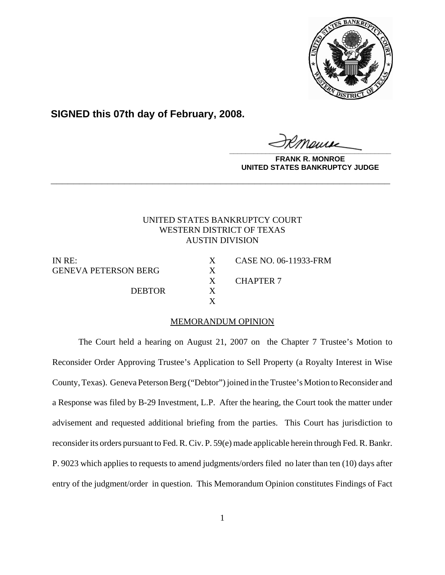

**SIGNED this 07th day of February, 2008.**

**\_\_\_\_\_\_\_\_\_\_\_\_\_\_\_\_\_\_\_\_\_\_\_\_\_\_\_\_\_\_\_\_\_\_\_\_\_\_\_\_**

**FRANK R. MONROE UNITED STATES BANKRUPTCY JUDGE**

# UNITED STATES BANKRUPTCY COURT WESTERN DISTRICT OF TEXAS AUSTIN DIVISION

**\_\_\_\_\_\_\_\_\_\_\_\_\_\_\_\_\_\_\_\_\_\_\_\_\_\_\_\_\_\_\_\_\_\_\_\_\_\_\_\_\_\_\_\_\_\_\_\_\_\_\_\_\_\_\_\_\_\_\_\_**

GENEVA PETERSON BERG X

DEBTOR X

IN RE: X CASE NO. 06-11933-FRM X CHAPTER 7

## MEMORANDUM OPINION

X

The Court held a hearing on August 21, 2007 on the Chapter 7 Trustee's Motion to Reconsider Order Approving Trustee's Application to Sell Property (a Royalty Interest in Wise County, Texas). Geneva Peterson Berg ("Debtor") joined in the Trustee's Motion to Reconsider and a Response was filed by B-29 Investment, L.P. After the hearing, the Court took the matter under advisement and requested additional briefing from the parties. This Court has jurisdiction to reconsider its orders pursuant to Fed. R. Civ. P. 59(e) made applicable herein through Fed. R. Bankr. P. 9023 which applies to requests to amend judgments/orders filed no later than ten (10) days after entry of the judgment/order in question. This Memorandum Opinion constitutes Findings of Fact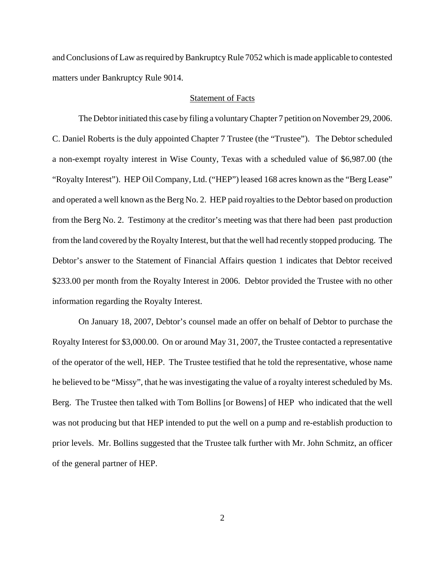and Conclusions of Law as required by Bankruptcy Rule 7052 which is made applicable to contested matters under Bankruptcy Rule 9014.

### Statement of Facts

The Debtor initiated this case by filing a voluntary Chapter 7 petition on November 29, 2006. C. Daniel Roberts is the duly appointed Chapter 7 Trustee (the "Trustee"). The Debtor scheduled a non-exempt royalty interest in Wise County, Texas with a scheduled value of \$6,987.00 (the "Royalty Interest"). HEP Oil Company, Ltd. ("HEP") leased 168 acres known as the "Berg Lease" and operated a well known as the Berg No. 2. HEP paid royalties to the Debtor based on production from the Berg No. 2. Testimony at the creditor's meeting was that there had been past production from the land covered by the Royalty Interest, but that the well had recently stopped producing. The Debtor's answer to the Statement of Financial Affairs question 1 indicates that Debtor received \$233.00 per month from the Royalty Interest in 2006. Debtor provided the Trustee with no other information regarding the Royalty Interest.

On January 18, 2007, Debtor's counsel made an offer on behalf of Debtor to purchase the Royalty Interest for \$3,000.00. On or around May 31, 2007, the Trustee contacted a representative of the operator of the well, HEP. The Trustee testified that he told the representative, whose name he believed to be "Missy", that he was investigating the value of a royalty interest scheduled by Ms. Berg. The Trustee then talked with Tom Bollins [or Bowens] of HEP who indicated that the well was not producing but that HEP intended to put the well on a pump and re-establish production to prior levels. Mr. Bollins suggested that the Trustee talk further with Mr. John Schmitz, an officer of the general partner of HEP.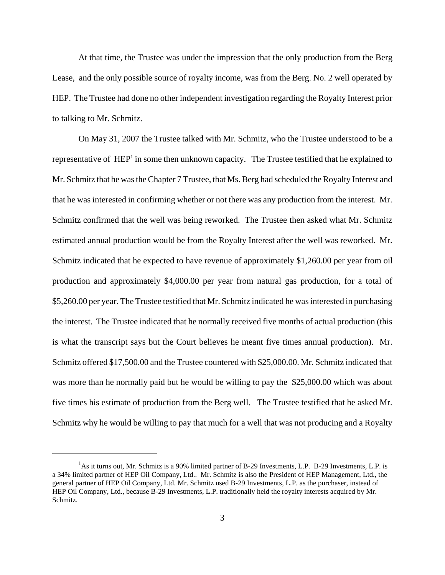At that time, the Trustee was under the impression that the only production from the Berg Lease, and the only possible source of royalty income, was from the Berg. No. 2 well operated by HEP. The Trustee had done no other independent investigation regarding the Royalty Interest prior to talking to Mr. Schmitz.

 On May 31, 2007 the Trustee talked with Mr. Schmitz, who the Trustee understood to be a representative of HEP<sup>1</sup> in some then unknown capacity. The Trustee testified that he explained to Mr. Schmitz that he was the Chapter 7 Trustee, that Ms. Berg had scheduled the Royalty Interest and that he was interested in confirming whether or not there was any production from the interest. Mr. Schmitz confirmed that the well was being reworked. The Trustee then asked what Mr. Schmitz estimated annual production would be from the Royalty Interest after the well was reworked. Mr. Schmitz indicated that he expected to have revenue of approximately \$1,260.00 per year from oil production and approximately \$4,000.00 per year from natural gas production, for a total of \$5,260.00 per year. The Trustee testified that Mr. Schmitz indicated he was interested in purchasing the interest. The Trustee indicated that he normally received five months of actual production (this is what the transcript says but the Court believes he meant five times annual production). Mr. Schmitz offered \$17,500.00 and the Trustee countered with \$25,000.00. Mr. Schmitz indicated that was more than he normally paid but he would be willing to pay the \$25,000.00 which was about five times his estimate of production from the Berg well. The Trustee testified that he asked Mr. Schmitz why he would be willing to pay that much for a well that was not producing and a Royalty

<sup>&</sup>lt;sup>1</sup>As it turns out, Mr. Schmitz is a 90% limited partner of B-29 Investments, L.P. B-29 Investments, L.P. is a 34% limited partner of HEP Oil Company, Ltd.. Mr. Schmitz is also the President of HEP Management, Ltd., the general partner of HEP Oil Company, Ltd. Mr. Schmitz used B-29 Investments, L.P. as the purchaser, instead of HEP Oil Company, Ltd., because B-29 Investments, L.P. traditionally held the royalty interests acquired by Mr. Schmitz.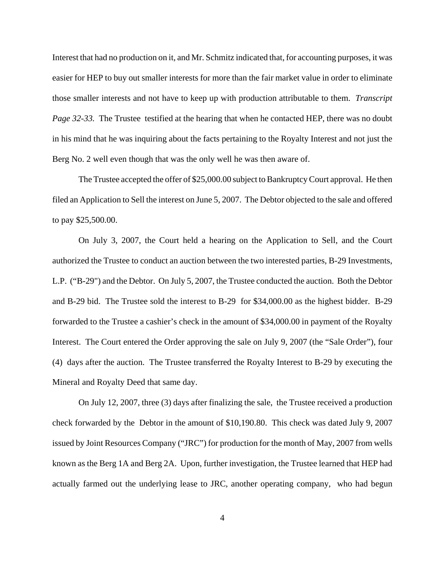Interest that had no production on it, and Mr. Schmitz indicated that, for accounting purposes, it was easier for HEP to buy out smaller interests for more than the fair market value in order to eliminate those smaller interests and not have to keep up with production attributable to them. *Transcript Page 32-33.* The Trustee testified at the hearing that when he contacted HEP, there was no doubt in his mind that he was inquiring about the facts pertaining to the Royalty Interest and not just the Berg No. 2 well even though that was the only well he was then aware of.

The Trustee accepted the offer of \$25,000.00 subject to Bankruptcy Court approval. He then filed an Application to Sell the interest on June 5, 2007. The Debtor objected to the sale and offered to pay \$25,500.00.

On July 3, 2007, the Court held a hearing on the Application to Sell, and the Court authorized the Trustee to conduct an auction between the two interested parties, B-29 Investments, L.P. ("B-29") and the Debtor. On July 5, 2007, the Trustee conducted the auction. Both the Debtor and B-29 bid. The Trustee sold the interest to B-29 for \$34,000.00 as the highest bidder. B-29 forwarded to the Trustee a cashier's check in the amount of \$34,000.00 in payment of the Royalty Interest. The Court entered the Order approving the sale on July 9, 2007 (the "Sale Order"), four (4) days after the auction. The Trustee transferred the Royalty Interest to B-29 by executing the Mineral and Royalty Deed that same day.

On July 12, 2007, three (3) days after finalizing the sale, the Trustee received a production check forwarded by the Debtor in the amount of \$10,190.80. This check was dated July 9, 2007 issued by Joint Resources Company ("JRC") for production for the month of May, 2007 from wells known as the Berg 1A and Berg 2A. Upon, further investigation, the Trustee learned that HEP had actually farmed out the underlying lease to JRC, another operating company, who had begun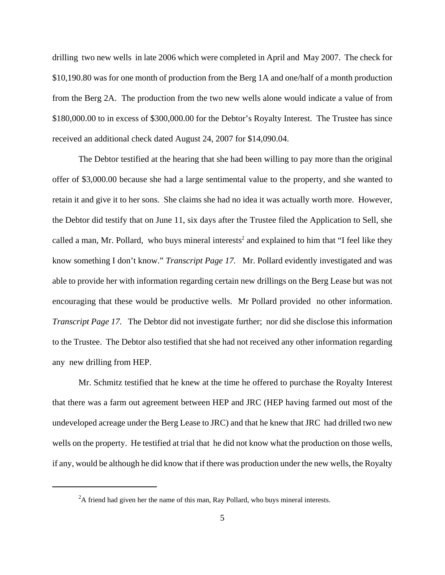drilling two new wells in late 2006 which were completed in April and May 2007. The check for \$10,190.80 was for one month of production from the Berg 1A and one/half of a month production from the Berg 2A. The production from the two new wells alone would indicate a value of from \$180,000.00 to in excess of \$300,000.00 for the Debtor's Royalty Interest. The Trustee has since received an additional check dated August 24, 2007 for \$14,090.04.

The Debtor testified at the hearing that she had been willing to pay more than the original offer of \$3,000.00 because she had a large sentimental value to the property, and she wanted to retain it and give it to her sons. She claims she had no idea it was actually worth more. However, the Debtor did testify that on June 11, six days after the Trustee filed the Application to Sell, she called a man, Mr. Pollard, who buys mineral interests<sup>2</sup> and explained to him that "I feel like they know something I don't know." *Transcript Page 17.* Mr. Pollard evidently investigated and was able to provide her with information regarding certain new drillings on the Berg Lease but was not encouraging that these would be productive wells. Mr Pollard provided no other information. *Transcript Page 17.* The Debtor did not investigate further; nor did she disclose this information to the Trustee. The Debtor also testified that she had not received any other information regarding any new drilling from HEP.

Mr. Schmitz testified that he knew at the time he offered to purchase the Royalty Interest that there was a farm out agreement between HEP and JRC (HEP having farmed out most of the undeveloped acreage under the Berg Lease to JRC) and that he knew that JRC had drilled two new wells on the property. He testified at trial that he did not know what the production on those wells, if any, would be although he did know that if there was production under the new wells, the Royalty

 $2A$  friend had given her the name of this man, Ray Pollard, who buys mineral interests.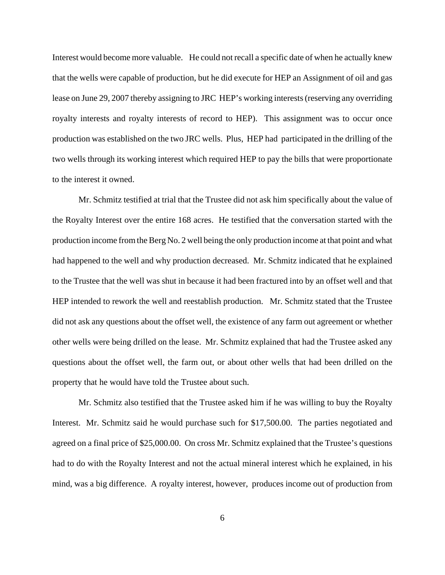Interest would become more valuable. He could not recall a specific date of when he actually knew that the wells were capable of production, but he did execute for HEP an Assignment of oil and gas lease on June 29, 2007 thereby assigning to JRC HEP's working interests (reserving any overriding royalty interests and royalty interests of record to HEP). This assignment was to occur once production was established on the two JRC wells. Plus, HEP had participated in the drilling of the two wells through its working interest which required HEP to pay the bills that were proportionate to the interest it owned.

Mr. Schmitz testified at trial that the Trustee did not ask him specifically about the value of the Royalty Interest over the entire 168 acres. He testified that the conversation started with the production income from the Berg No. 2 well being the only production income at that point and what had happened to the well and why production decreased. Mr. Schmitz indicated that he explained to the Trustee that the well was shut in because it had been fractured into by an offset well and that HEP intended to rework the well and reestablish production. Mr. Schmitz stated that the Trustee did not ask any questions about the offset well, the existence of any farm out agreement or whether other wells were being drilled on the lease. Mr. Schmitz explained that had the Trustee asked any questions about the offset well, the farm out, or about other wells that had been drilled on the property that he would have told the Trustee about such.

Mr. Schmitz also testified that the Trustee asked him if he was willing to buy the Royalty Interest. Mr. Schmitz said he would purchase such for \$17,500.00. The parties negotiated and agreed on a final price of \$25,000.00. On cross Mr. Schmitz explained that the Trustee's questions had to do with the Royalty Interest and not the actual mineral interest which he explained, in his mind, was a big difference. A royalty interest, however, produces income out of production from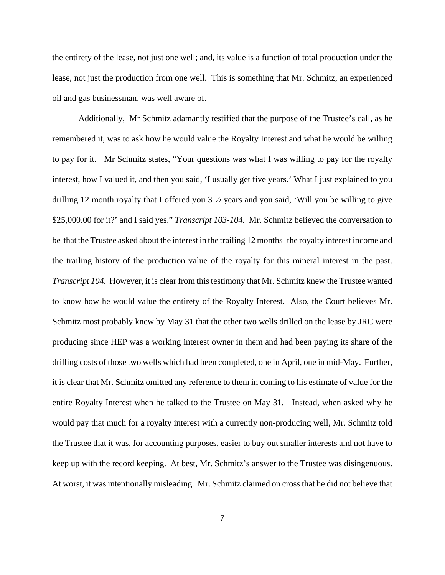the entirety of the lease, not just one well; and, its value is a function of total production under the lease, not just the production from one well. This is something that Mr. Schmitz, an experienced oil and gas businessman, was well aware of.

Additionally, Mr Schmitz adamantly testified that the purpose of the Trustee's call, as he remembered it, was to ask how he would value the Royalty Interest and what he would be willing to pay for it. Mr Schmitz states, "Your questions was what I was willing to pay for the royalty interest, how I valued it, and then you said, 'I usually get five years.' What I just explained to you drilling 12 month royalty that I offered you 3 ½ years and you said, 'Will you be willing to give \$25,000.00 for it?' and I said yes." *Transcript 103-104.* Mr. Schmitz believed the conversation to be that the Trustee asked about the interest in the trailing 12 months–the royalty interest income and the trailing history of the production value of the royalty for this mineral interest in the past. *Transcript 104.* However, it is clear from this testimony that Mr. Schmitz knew the Trustee wanted to know how he would value the entirety of the Royalty Interest. Also, the Court believes Mr. Schmitz most probably knew by May 31 that the other two wells drilled on the lease by JRC were producing since HEP was a working interest owner in them and had been paying its share of the drilling costs of those two wells which had been completed, one in April, one in mid-May. Further, it is clear that Mr. Schmitz omitted any reference to them in coming to his estimate of value for the entire Royalty Interest when he talked to the Trustee on May 31. Instead, when asked why he would pay that much for a royalty interest with a currently non-producing well, Mr. Schmitz told the Trustee that it was, for accounting purposes, easier to buy out smaller interests and not have to keep up with the record keeping. At best, Mr. Schmitz's answer to the Trustee was disingenuous. At worst, it was intentionally misleading. Mr. Schmitz claimed on cross that he did not believe that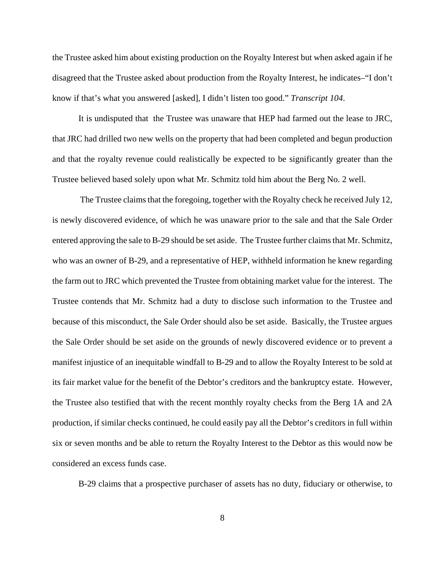the Trustee asked him about existing production on the Royalty Interest but when asked again if he disagreed that the Trustee asked about production from the Royalty Interest, he indicates–"I don't know if that's what you answered [asked], I didn't listen too good." *Transcript 104*.

It is undisputed that the Trustee was unaware that HEP had farmed out the lease to JRC, that JRC had drilled two new wells on the property that had been completed and begun production and that the royalty revenue could realistically be expected to be significantly greater than the Trustee believed based solely upon what Mr. Schmitz told him about the Berg No. 2 well.

 The Trustee claims that the foregoing, together with the Royalty check he received July 12, is newly discovered evidence, of which he was unaware prior to the sale and that the Sale Order entered approving the sale to B-29 should be set aside. The Trustee further claims that Mr. Schmitz, who was an owner of B-29, and a representative of HEP, withheld information he knew regarding the farm out to JRC which prevented the Trustee from obtaining market value for the interest. The Trustee contends that Mr. Schmitz had a duty to disclose such information to the Trustee and because of this misconduct, the Sale Order should also be set aside. Basically, the Trustee argues the Sale Order should be set aside on the grounds of newly discovered evidence or to prevent a manifest injustice of an inequitable windfall to B-29 and to allow the Royalty Interest to be sold at its fair market value for the benefit of the Debtor's creditors and the bankruptcy estate. However, the Trustee also testified that with the recent monthly royalty checks from the Berg 1A and 2A production, if similar checks continued, he could easily pay all the Debtor's creditors in full within six or seven months and be able to return the Royalty Interest to the Debtor as this would now be considered an excess funds case.

B-29 claims that a prospective purchaser of assets has no duty, fiduciary or otherwise, to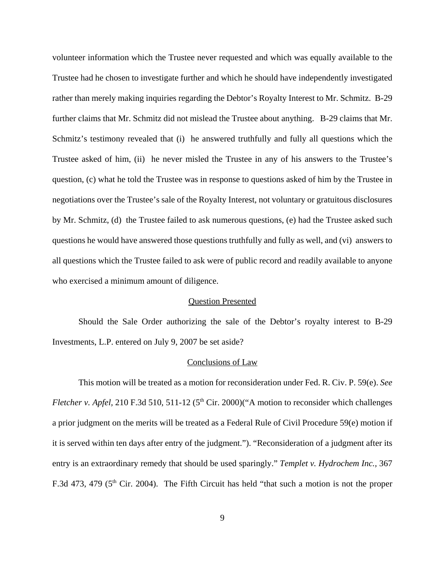volunteer information which the Trustee never requested and which was equally available to the Trustee had he chosen to investigate further and which he should have independently investigated rather than merely making inquiries regarding the Debtor's Royalty Interest to Mr. Schmitz. B-29 further claims that Mr. Schmitz did not mislead the Trustee about anything. B-29 claims that Mr. Schmitz's testimony revealed that (i) he answered truthfully and fully all questions which the Trustee asked of him, (ii) he never misled the Trustee in any of his answers to the Trustee's question, (c) what he told the Trustee was in response to questions asked of him by the Trustee in negotiations over the Trustee's sale of the Royalty Interest, not voluntary or gratuitous disclosures by Mr. Schmitz, (d) the Trustee failed to ask numerous questions, (e) had the Trustee asked such questions he would have answered those questions truthfully and fully as well, and (vi) answers to all questions which the Trustee failed to ask were of public record and readily available to anyone who exercised a minimum amount of diligence.

### Question Presented

Should the Sale Order authorizing the sale of the Debtor's royalty interest to B-29 Investments, L.P. entered on July 9, 2007 be set aside?

#### Conclusions of Law

This motion will be treated as a motion for reconsideration under Fed. R. Civ. P. 59(e). *See Fletcher v. Apfel,* 210 F.3d 510, 511-12 (5<sup>th</sup> Cir. 2000)("A motion to reconsider which challenges a prior judgment on the merits will be treated as a Federal Rule of Civil Procedure 59(e) motion if it is served within ten days after entry of the judgment."). "Reconsideration of a judgment after its entry is an extraordinary remedy that should be used sparingly." *Templet v. Hydrochem Inc.,* 367 F.3d 473, 479 ( $5<sup>th</sup>$  Cir. 2004). The Fifth Circuit has held "that such a motion is not the proper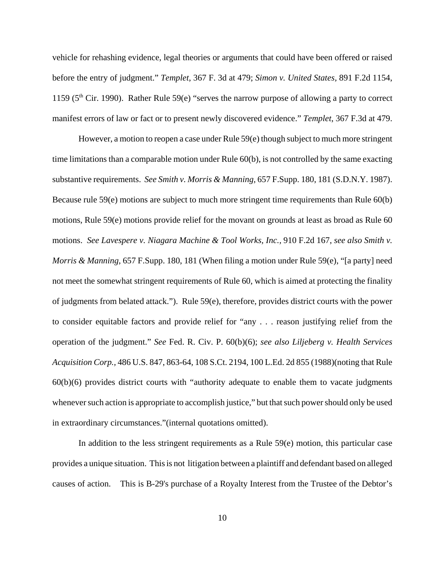vehicle for rehashing evidence, legal theories or arguments that could have been offered or raised before the entry of judgment." *Templet*, 367 F. 3d at 479; *Simon v. United States,* 891 F.2d 1154, 1159 ( $5<sup>th</sup>$  Cir. 1990). Rather Rule 59(e) "serves the narrow purpose of allowing a party to correct manifest errors of law or fact or to present newly discovered evidence." *Templet*, 367 F.3d at 479.

However, a motion to reopen a case under Rule 59(e) though subject to much more stringent time limitations than a comparable motion under Rule 60(b), is not controlled by the same exacting substantive requirements. *See Smith v. Morris & Manning,* 657 F.Supp. 180, 181 (S.D.N.Y. 1987). Because rule 59(e) motions are subject to much more stringent time requirements than Rule 60(b) motions, Rule 59(e) motions provide relief for the movant on grounds at least as broad as Rule 60 motions. *See Lavespere v. Niagara Machine & Tool Works, Inc.,* 910 F.2d 167, *see also Smith v. Morris & Manning,* 657 F.Supp. 180, 181 (When filing a motion under Rule 59(e), "[a party] need not meet the somewhat stringent requirements of Rule 60, which is aimed at protecting the finality of judgments from belated attack."). Rule 59(e), therefore, provides district courts with the power to consider equitable factors and provide relief for "any . . . reason justifying relief from the operation of the judgment." *See* Fed. R. Civ. P. 60(b)(6); *see also Liljeberg v. Health Services Acquisition Corp.,* 486 U.S. 847, 863-64, 108 S.Ct. 2194, 100 L.Ed. 2d 855 (1988)(noting that Rule 60(b)(6) provides district courts with "authority adequate to enable them to vacate judgments whenever such action is appropriate to accomplish justice," but that such power should only be used in extraordinary circumstances."(internal quotations omitted).

In addition to the less stringent requirements as a Rule 59(e) motion, this particular case provides a unique situation. This is not litigation between a plaintiff and defendant based on alleged causes of action. This is B-29's purchase of a Royalty Interest from the Trustee of the Debtor's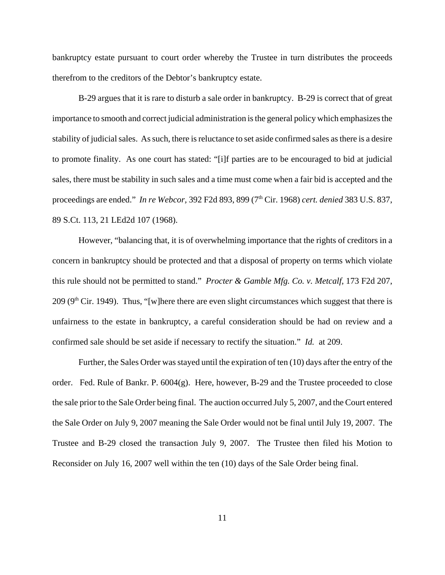bankruptcy estate pursuant to court order whereby the Trustee in turn distributes the proceeds therefrom to the creditors of the Debtor's bankruptcy estate.

B-29 argues that it is rare to disturb a sale order in bankruptcy. B-29 is correct that of great importance to smooth and correct judicial administration is the general policy which emphasizes the stability of judicial sales. As such, there is reluctance to set aside confirmed sales as there is a desire to promote finality. As one court has stated: "[i]f parties are to be encouraged to bid at judicial sales, there must be stability in such sales and a time must come when a fair bid is accepted and the proceedings are ended." *In re Webcor,* 392 F2d 893, 899 (7th Cir. 1968) *cert. denied* 383 U.S. 837, 89 S.Ct. 113, 21 LEd2d 107 (1968).

However, "balancing that, it is of overwhelming importance that the rights of creditors in a concern in bankruptcy should be protected and that a disposal of property on terms which violate this rule should not be permitted to stand." *Procter & Gamble Mfg. Co. v. Metcalf,* 173 F2d 207,  $209$  (9<sup>th</sup> Cir. 1949). Thus, "[w]here there are even slight circumstances which suggest that there is unfairness to the estate in bankruptcy, a careful consideration should be had on review and a confirmed sale should be set aside if necessary to rectify the situation." *Id.* at 209.

Further, the Sales Order was stayed until the expiration of ten (10) days after the entry of the order. Fed. Rule of Bankr. P. 6004(g). Here, however, B-29 and the Trustee proceeded to close the sale prior to the Sale Order being final. The auction occurred July 5, 2007, and the Court entered the Sale Order on July 9, 2007 meaning the Sale Order would not be final until July 19, 2007. The Trustee and B-29 closed the transaction July 9, 2007. The Trustee then filed his Motion to Reconsider on July 16, 2007 well within the ten (10) days of the Sale Order being final.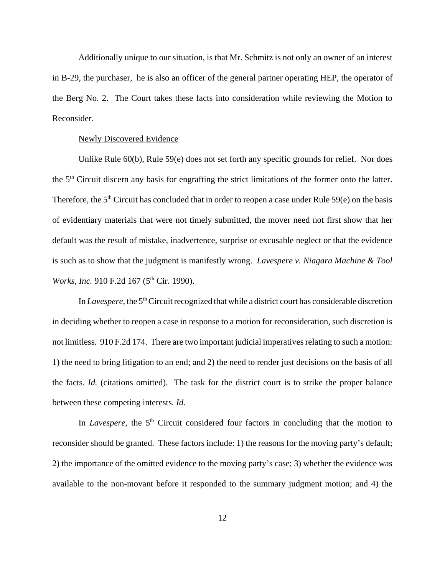Additionally unique to our situation, is that Mr. Schmitz is not only an owner of an interest in B-29, the purchaser, he is also an officer of the general partner operating HEP, the operator of the Berg No. 2. The Court takes these facts into consideration while reviewing the Motion to Reconsider.

#### Newly Discovered Evidence

Unlike Rule 60(b), Rule 59(e) does not set forth any specific grounds for relief. Nor does the 5th Circuit discern any basis for engrafting the strict limitations of the former onto the latter. Therefore, the  $5<sup>th</sup>$  Circuit has concluded that in order to reopen a case under Rule  $59(e)$  on the basis of evidentiary materials that were not timely submitted, the mover need not first show that her default was the result of mistake, inadvertence, surprise or excusable neglect or that the evidence is such as to show that the judgment is manifestly wrong. *Lavespere v. Niagara Machine & Tool Works, Inc.* 910 F.2d 167 (5<sup>th</sup> Cir. 1990).

In *Lavespere*, the 5<sup>th</sup> Circuit recognized that while a district court has considerable discretion in deciding whether to reopen a case in response to a motion for reconsideration, such discretion is not limitless. 910 F.2d 174. There are two important judicial imperatives relating to such a motion: 1) the need to bring litigation to an end; and 2) the need to render just decisions on the basis of all the facts. *Id.* (citations omitted). The task for the district court is to strike the proper balance between these competing interests. *Id.* 

In *Lavespere*, the 5<sup>th</sup> Circuit considered four factors in concluding that the motion to reconsider should be granted. These factors include: 1) the reasons for the moving party's default; 2) the importance of the omitted evidence to the moving party's case; 3) whether the evidence was available to the non-movant before it responded to the summary judgment motion; and 4) the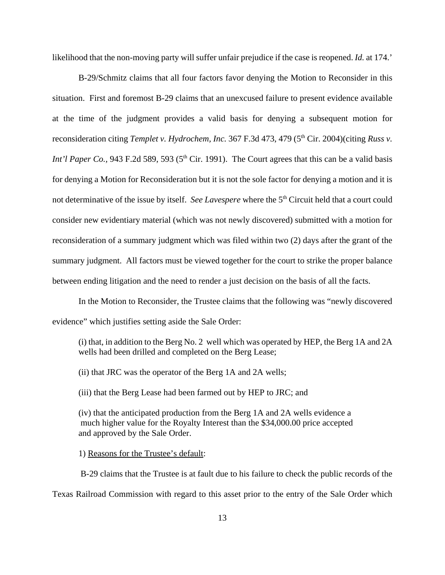likelihood that the non-moving party will suffer unfair prejudice if the case is reopened. *Id.* at 174.'

B-29/Schmitz claims that all four factors favor denying the Motion to Reconsider in this situation. First and foremost B-29 claims that an unexcused failure to present evidence available at the time of the judgment provides a valid basis for denying a subsequent motion for reconsideration citing *Templet v. Hydrochem, Inc.* 367 F.3d 473, 479 (5<sup>th</sup> Cir. 2004)(citing *Russ v. Int'l Paper Co.*, 943 F.2d 589, 593 (5<sup>th</sup> Cir. 1991). The Court agrees that this can be a valid basis for denying a Motion for Reconsideration but it is not the sole factor for denying a motion and it is not determinative of the issue by itself. *See Lavespere* where the 5<sup>th</sup> Circuit held that a court could consider new evidentiary material (which was not newly discovered) submitted with a motion for reconsideration of a summary judgment which was filed within two (2) days after the grant of the summary judgment. All factors must be viewed together for the court to strike the proper balance between ending litigation and the need to render a just decision on the basis of all the facts.

In the Motion to Reconsider, the Trustee claims that the following was "newly discovered evidence" which justifies setting aside the Sale Order:

(i) that, in addition to the Berg No. 2 well which was operated by HEP, the Berg 1A and 2A wells had been drilled and completed on the Berg Lease;

(ii) that JRC was the operator of the Berg 1A and 2A wells;

(iii) that the Berg Lease had been farmed out by HEP to JRC; and

(iv) that the anticipated production from the Berg 1A and 2A wells evidence a much higher value for the Royalty Interest than the \$34,000.00 price accepted and approved by the Sale Order.

1) Reasons for the Trustee's default:

 B-29 claims that the Trustee is at fault due to his failure to check the public records of the Texas Railroad Commission with regard to this asset prior to the entry of the Sale Order which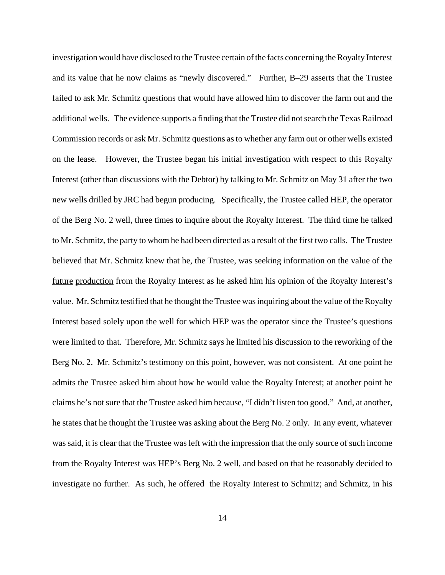investigation would have disclosed to the Trustee certain of the facts concerning the Royalty Interest and its value that he now claims as "newly discovered." Further, B–29 asserts that the Trustee failed to ask Mr. Schmitz questions that would have allowed him to discover the farm out and the additional wells. The evidence supports a finding that the Trustee did not search the Texas Railroad Commission records or ask Mr. Schmitz questions as to whether any farm out or other wells existed on the lease. However, the Trustee began his initial investigation with respect to this Royalty Interest (other than discussions with the Debtor) by talking to Mr. Schmitz on May 31 after the two new wells drilled by JRC had begun producing. Specifically, the Trustee called HEP, the operator of the Berg No. 2 well, three times to inquire about the Royalty Interest. The third time he talked to Mr. Schmitz, the party to whom he had been directed as a result of the first two calls. The Trustee believed that Mr. Schmitz knew that he, the Trustee, was seeking information on the value of the future production from the Royalty Interest as he asked him his opinion of the Royalty Interest's value. Mr. Schmitz testified that he thought the Trustee was inquiring about the value of the Royalty Interest based solely upon the well for which HEP was the operator since the Trustee's questions were limited to that. Therefore, Mr. Schmitz says he limited his discussion to the reworking of the Berg No. 2. Mr. Schmitz's testimony on this point, however, was not consistent. At one point he admits the Trustee asked him about how he would value the Royalty Interest; at another point he claims he's not sure that the Trustee asked him because, "I didn't listen too good." And, at another, he states that he thought the Trustee was asking about the Berg No. 2 only. In any event, whatever was said, it is clear that the Trustee was left with the impression that the only source of such income from the Royalty Interest was HEP's Berg No. 2 well, and based on that he reasonably decided to investigate no further. As such, he offered the Royalty Interest to Schmitz; and Schmitz, in his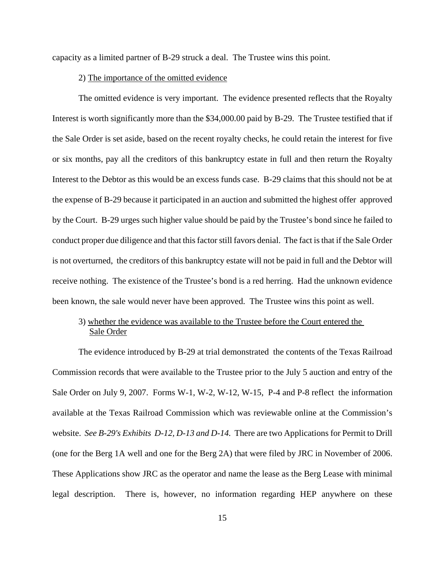capacity as a limited partner of B-29 struck a deal. The Trustee wins this point.

#### 2) The importance of the omitted evidence

The omitted evidence is very important. The evidence presented reflects that the Royalty Interest is worth significantly more than the \$34,000.00 paid by B-29. The Trustee testified that if the Sale Order is set aside, based on the recent royalty checks, he could retain the interest for five or six months, pay all the creditors of this bankruptcy estate in full and then return the Royalty Interest to the Debtor as this would be an excess funds case. B-29 claims that this should not be at the expense of B-29 because it participated in an auction and submitted the highest offer approved by the Court. B-29 urges such higher value should be paid by the Trustee's bond since he failed to conduct proper due diligence and that this factor still favors denial. The fact is that if the Sale Order is not overturned, the creditors of this bankruptcy estate will not be paid in full and the Debtor will receive nothing. The existence of the Trustee's bond is a red herring. Had the unknown evidence been known, the sale would never have been approved. The Trustee wins this point as well.

## 3) whether the evidence was available to the Trustee before the Court entered the Sale Order

The evidence introduced by B-29 at trial demonstrated the contents of the Texas Railroad Commission records that were available to the Trustee prior to the July 5 auction and entry of the Sale Order on July 9, 2007. Forms W-1, W-2, W-12, W-15, P-4 and P-8 reflect the information available at the Texas Railroad Commission which was reviewable online at the Commission's website. *See B-29's Exhibits D-12, D-13 and D-14.* There are two Applications for Permit to Drill (one for the Berg 1A well and one for the Berg 2A) that were filed by JRC in November of 2006. These Applications show JRC as the operator and name the lease as the Berg Lease with minimal legal description. There is, however, no information regarding HEP anywhere on these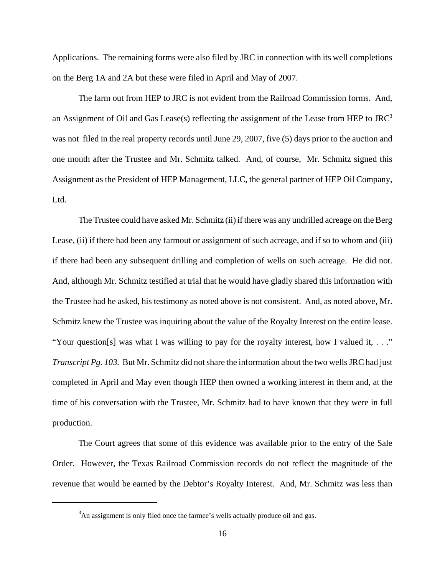Applications. The remaining forms were also filed by JRC in connection with its well completions on the Berg 1A and 2A but these were filed in April and May of 2007.

The farm out from HEP to JRC is not evident from the Railroad Commission forms. And, an Assignment of Oil and Gas Lease(s) reflecting the assignment of the Lease from HEP to  $JRC<sup>3</sup>$ was not filed in the real property records until June 29, 2007, five (5) days prior to the auction and one month after the Trustee and Mr. Schmitz talked. And, of course, Mr. Schmitz signed this Assignment as the President of HEP Management, LLC, the general partner of HEP Oil Company, Ltd.

The Trustee could have asked Mr. Schmitz (ii) if there was any undrilled acreage on the Berg Lease, (ii) if there had been any farmout or assignment of such acreage, and if so to whom and (iii) if there had been any subsequent drilling and completion of wells on such acreage. He did not. And, although Mr. Schmitz testified at trial that he would have gladly shared this information with the Trustee had he asked, his testimony as noted above is not consistent. And, as noted above, Mr. Schmitz knew the Trustee was inquiring about the value of the Royalty Interest on the entire lease. "Your question[s] was what I was willing to pay for the royalty interest, how I valued it, . . ." *Transcript Pg. 103.* But Mr. Schmitz did not share the information about the two wells JRC had just completed in April and May even though HEP then owned a working interest in them and, at the time of his conversation with the Trustee, Mr. Schmitz had to have known that they were in full production.

The Court agrees that some of this evidence was available prior to the entry of the Sale Order. However, the Texas Railroad Commission records do not reflect the magnitude of the revenue that would be earned by the Debtor's Royalty Interest. And, Mr. Schmitz was less than

 $3$ An assignment is only filed once the farmee's wells actually produce oil and gas.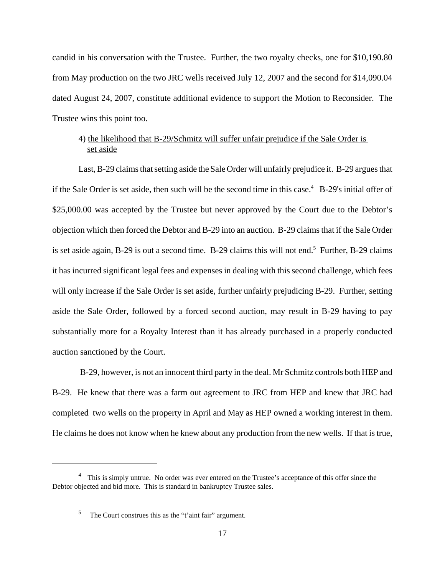candid in his conversation with the Trustee. Further, the two royalty checks, one for \$10,190.80 from May production on the two JRC wells received July 12, 2007 and the second for \$14,090.04 dated August 24, 2007, constitute additional evidence to support the Motion to Reconsider. The Trustee wins this point too.

## 4) the likelihood that B-29/Schmitz will suffer unfair prejudice if the Sale Order is set aside

Last, B-29 claims that setting aside the Sale Order will unfairly prejudice it. B-29 argues that if the Sale Order is set aside, then such will be the second time in this case.<sup>4</sup> B-29's initial offer of \$25,000.00 was accepted by the Trustee but never approved by the Court due to the Debtor's objection which then forced the Debtor and B-29 into an auction. B-29 claims that if the Sale Order is set aside again, B-29 is out a second time. B-29 claims this will not end.<sup>5</sup> Further, B-29 claims it has incurred significant legal fees and expenses in dealing with this second challenge, which fees will only increase if the Sale Order is set aside, further unfairly prejudicing B-29. Further, setting aside the Sale Order, followed by a forced second auction, may result in B-29 having to pay substantially more for a Royalty Interest than it has already purchased in a properly conducted auction sanctioned by the Court.

 B-29, however, is not an innocent third party in the deal. Mr Schmitz controls both HEP and B-29. He knew that there was a farm out agreement to JRC from HEP and knew that JRC had completed two wells on the property in April and May as HEP owned a working interest in them. He claims he does not know when he knew about any production from the new wells. If that is true,

<sup>&</sup>lt;sup>4</sup> This is simply untrue. No order was ever entered on the Trustee's acceptance of this offer since the Debtor objected and bid more. This is standard in bankruptcy Trustee sales.

<sup>5</sup> The Court construes this as the "t'aint fair" argument.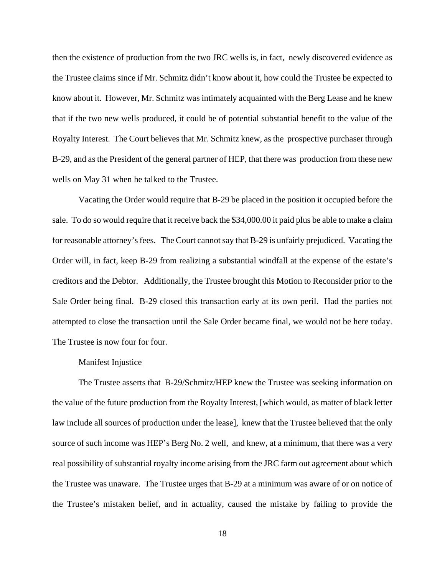then the existence of production from the two JRC wells is, in fact, newly discovered evidence as the Trustee claims since if Mr. Schmitz didn't know about it, how could the Trustee be expected to know about it. However, Mr. Schmitz was intimately acquainted with the Berg Lease and he knew that if the two new wells produced, it could be of potential substantial benefit to the value of the Royalty Interest. The Court believes that Mr. Schmitz knew, as the prospective purchaser through B-29, and as the President of the general partner of HEP, that there was production from these new wells on May 31 when he talked to the Trustee.

 Vacating the Order would require that B-29 be placed in the position it occupied before the sale. To do so would require that it receive back the \$34,000.00 it paid plus be able to make a claim for reasonable attorney's fees. The Court cannot say that B-29 is unfairly prejudiced. Vacating the Order will, in fact, keep B-29 from realizing a substantial windfall at the expense of the estate's creditors and the Debtor. Additionally, the Trustee brought this Motion to Reconsider prior to the Sale Order being final. B-29 closed this transaction early at its own peril. Had the parties not attempted to close the transaction until the Sale Order became final, we would not be here today. The Trustee is now four for four.

## **Manifest Injustice**

The Trustee asserts that B-29/Schmitz/HEP knew the Trustee was seeking information on the value of the future production from the Royalty Interest, [which would, as matter of black letter law include all sources of production under the lease], knew that the Trustee believed that the only source of such income was HEP's Berg No. 2 well, and knew, at a minimum, that there was a very real possibility of substantial royalty income arising from the JRC farm out agreement about which the Trustee was unaware. The Trustee urges that B-29 at a minimum was aware of or on notice of the Trustee's mistaken belief, and in actuality, caused the mistake by failing to provide the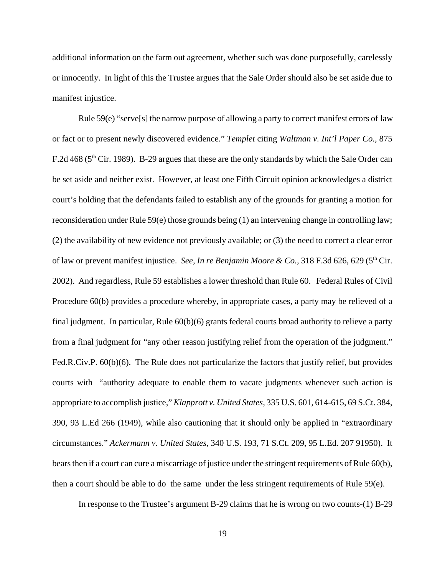additional information on the farm out agreement, whether such was done purposefully, carelessly or innocently. In light of this the Trustee argues that the Sale Order should also be set aside due to manifest injustice.

 Rule 59(e) "serve[s] the narrow purpose of allowing a party to correct manifest errors of law or fact or to present newly discovered evidence." *Templet* citing *Waltman v. Int'l Paper Co.,* 875 F.2d 468 ( $5<sup>th</sup>$  Cir. 1989). B-29 argues that these are the only standards by which the Sale Order can be set aside and neither exist. However, at least one Fifth Circuit opinion acknowledges a district court's holding that the defendants failed to establish any of the grounds for granting a motion for reconsideration under Rule 59(e) those grounds being (1) an intervening change in controlling law; (2) the availability of new evidence not previously available; or (3) the need to correct a clear error of law or prevent manifest injustice. *See, In re Benjamin Moore & Co.*, 318 F.3d 626, 629 (5<sup>th</sup> Cir. 2002). And regardless, Rule 59 establishes a lower threshold than Rule 60. Federal Rules of Civil Procedure 60(b) provides a procedure whereby, in appropriate cases, a party may be relieved of a final judgment. In particular, Rule 60(b)(6) grants federal courts broad authority to relieve a party from a final judgment for "any other reason justifying relief from the operation of the judgment." Fed.R.Civ.P. 60(b)(6). The Rule does not particularize the factors that justify relief, but provides courts with "authority adequate to enable them to vacate judgments whenever such action is appropriate to accomplish justice," *Klapprott v. United States,* 335 U.S. 601, 614-615, 69 S.Ct. 384, 390, 93 L.Ed 266 (1949), while also cautioning that it should only be applied in "extraordinary circumstances." *Ackermann v. United States,* 340 U.S. 193, 71 S.Ct. 209, 95 L.Ed. 207 91950). It bears then if a court can cure a miscarriage of justice under the stringent requirements of Rule 60(b), then a court should be able to do the same under the less stringent requirements of Rule 59(e).

In response to the Trustee's argument B-29 claims that he is wrong on two counts-(1) B-29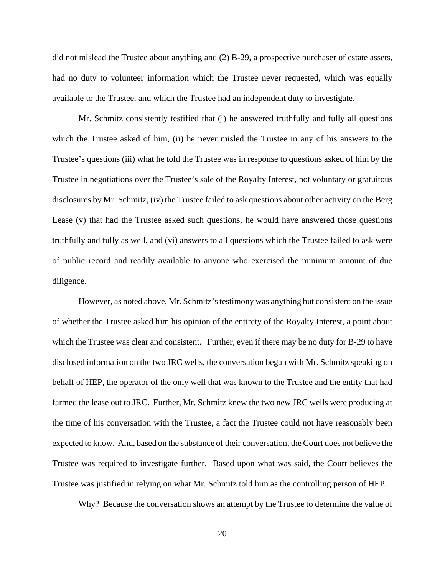did not mislead the Trustee about anything and (2) B-29, a prospective purchaser of estate assets, had no duty to volunteer information which the Trustee never requested, which was equally available to the Trustee, and which the Trustee had an independent duty to investigate.

Mr. Schmitz consistently testified that (i) he answered truthfully and fully all questions which the Trustee asked of him, (ii) he never misled the Trustee in any of his answers to the Trustee's questions (iii) what he told the Trustee was in response to questions asked of him by the Trustee in negotiations over the Trustee's sale of the Royalty Interest, not voluntary or gratuitous disclosures by Mr. Schmitz, (iv) the Trustee failed to ask questions about other activity on the Berg Lease (v) that had the Trustee asked such questions, he would have answered those questions truthfully and fully as well, and (vi) answers to all questions which the Trustee failed to ask were of public record and readily available to anyone who exercised the minimum amount of due diligence.

However, as noted above, Mr. Schmitz's testimony was anything but consistent on the issue of whether the Trustee asked him his opinion of the entirety of the Royalty Interest, a point about which the Trustee was clear and consistent. Further, even if there may be no duty for B-29 to have disclosed information on the two JRC wells, the conversation began with Mr. Schmitz speaking on behalf of HEP, the operator of the only well that was known to the Trustee and the entity that had farmed the lease out to JRC. Further, Mr. Schmitz knew the two new JRC wells were producing at the time of his conversation with the Trustee, a fact the Trustee could not have reasonably been expected to know. And, based on the substance of their conversation, the Court does not believe the Trustee was required to investigate further. Based upon what was said, the Court believes the Trustee was justified in relying on what Mr. Schmitz told him as the controlling person of HEP.

Why? Because the conversation shows an attempt by the Trustee to determine the value of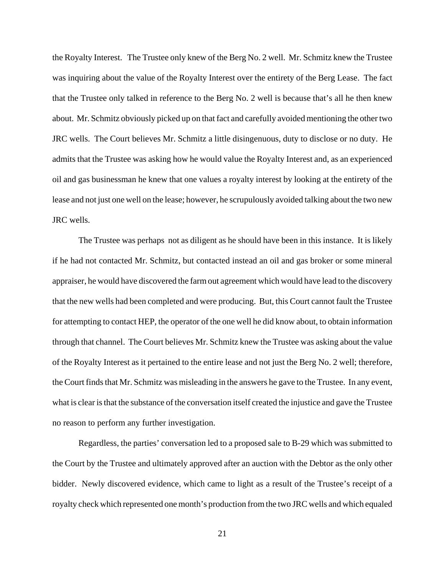the Royalty Interest. The Trustee only knew of the Berg No. 2 well. Mr. Schmitz knew the Trustee was inquiring about the value of the Royalty Interest over the entirety of the Berg Lease. The fact that the Trustee only talked in reference to the Berg No. 2 well is because that's all he then knew about. Mr. Schmitz obviously picked up on that fact and carefully avoided mentioning the other two JRC wells. The Court believes Mr. Schmitz a little disingenuous, duty to disclose or no duty. He admits that the Trustee was asking how he would value the Royalty Interest and, as an experienced oil and gas businessman he knew that one values a royalty interest by looking at the entirety of the lease and not just one well on the lease; however, he scrupulously avoided talking about the two new JRC wells.

The Trustee was perhaps not as diligent as he should have been in this instance. It is likely if he had not contacted Mr. Schmitz, but contacted instead an oil and gas broker or some mineral appraiser, he would have discovered the farm out agreement which would have lead to the discovery that the new wells had been completed and were producing. But, this Court cannot fault the Trustee for attempting to contact HEP, the operator of the one well he did know about, to obtain information through that channel. The Court believes Mr. Schmitz knew the Trustee was asking about the value of the Royalty Interest as it pertained to the entire lease and not just the Berg No. 2 well; therefore, the Court finds that Mr. Schmitz was misleading in the answers he gave to the Trustee. In any event, what is clear is that the substance of the conversation itself created the injustice and gave the Trustee no reason to perform any further investigation.

Regardless, the parties' conversation led to a proposed sale to B-29 which was submitted to the Court by the Trustee and ultimately approved after an auction with the Debtor as the only other bidder. Newly discovered evidence, which came to light as a result of the Trustee's receipt of a royalty check which represented one month's production from the two JRC wells and which equaled